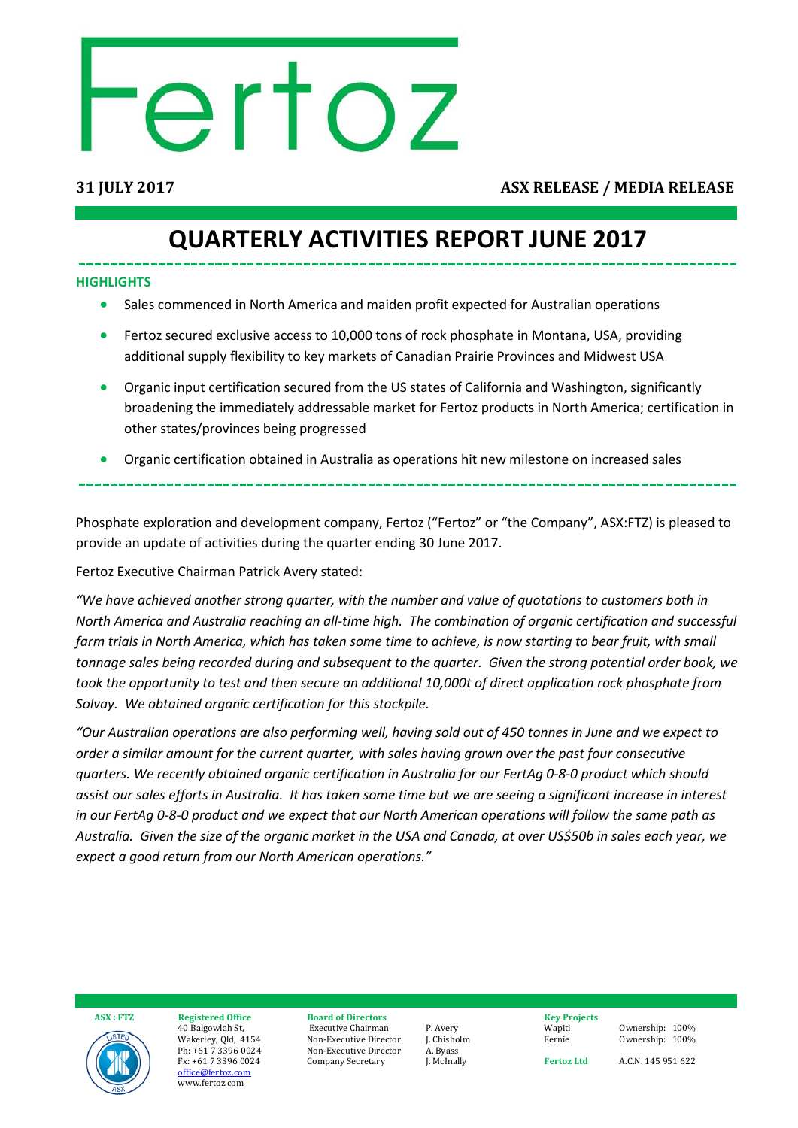# ertoz

### **31 JULY 2017 ASX RELEASE / MEDIA RELEASE**

### **QUARTERLY ACTIVITIES REPORT JUNE 2017**

### **HIGHLIGHTS**

- Sales commenced in North America and maiden profit expected for Australian operations
- Fertoz secured exclusive access to 10,000 tons of rock phosphate in Montana, USA, providing additional supply flexibility to key markets of Canadian Prairie Provinces and Midwest USA
- Organic input certification secured from the US states of California and Washington, significantly broadening the immediately addressable market for Fertoz products in North America; certification in other states/provinces being progressed
- Organic certification obtained in Australia as operations hit new milestone on increased sales

Phosphate exploration and development company, Fertoz ("Fertoz" or "the Company", ASX:FTZ) is pleased to provide an update of activities during the quarter ending 30 June 2017.

Fertoz Executive Chairman Patrick Avery stated:

*"We have achieved another strong quarter, with the number and value of quotations to customers both in North America and Australia reaching an all-time high. The combination of organic certification and successful farm trials in North America, which has taken some time to achieve, is now starting to bear fruit, with small tonnage sales being recorded during and subsequent to the quarter. Given the strong potential order book, we took the opportunity to test and then secure an additional 10,000t of direct application rock phosphate from Solvay. We obtained organic certification for this stockpile.* 

*"Our Australian operations are also performing well, having sold out of 450 tonnes in June and we expect to order a similar amount for the current quarter, with sales having grown over the past four consecutive quarters. We recently obtained organic certification in Australia for our FertAg 0-8-0 product which should assist our sales efforts in Australia. It has taken some time but we are seeing a significant increase in interest in our FertAg 0-8-0 product and we expect that our North American operations will follow the same path as Australia. Given the size of the organic market in the USA and Canada, at over US\$50b in sales each year, we expect a good return from our North American operations."*



 **ASX : FTZ Registered Office** 40 Balgowlah St, Wakerley, Qld, 4154 Ph: +61 7 3396 0024 Fx: +61 7 3396 0024 [office@fertoz.com](mailto:office@fertoz.com) www.fertoz.com

**Board of Directors** Executive Chairman Non-Executive Director Non-Executive Director Company Secretary

P. Avery J. Chisholm A. Byass J. McInally

**Key Projects** Wapiti Fernie

Ownership: 100% Ownership: 100%

**Fertoz Ltd** 

A.C.N. 145 951 622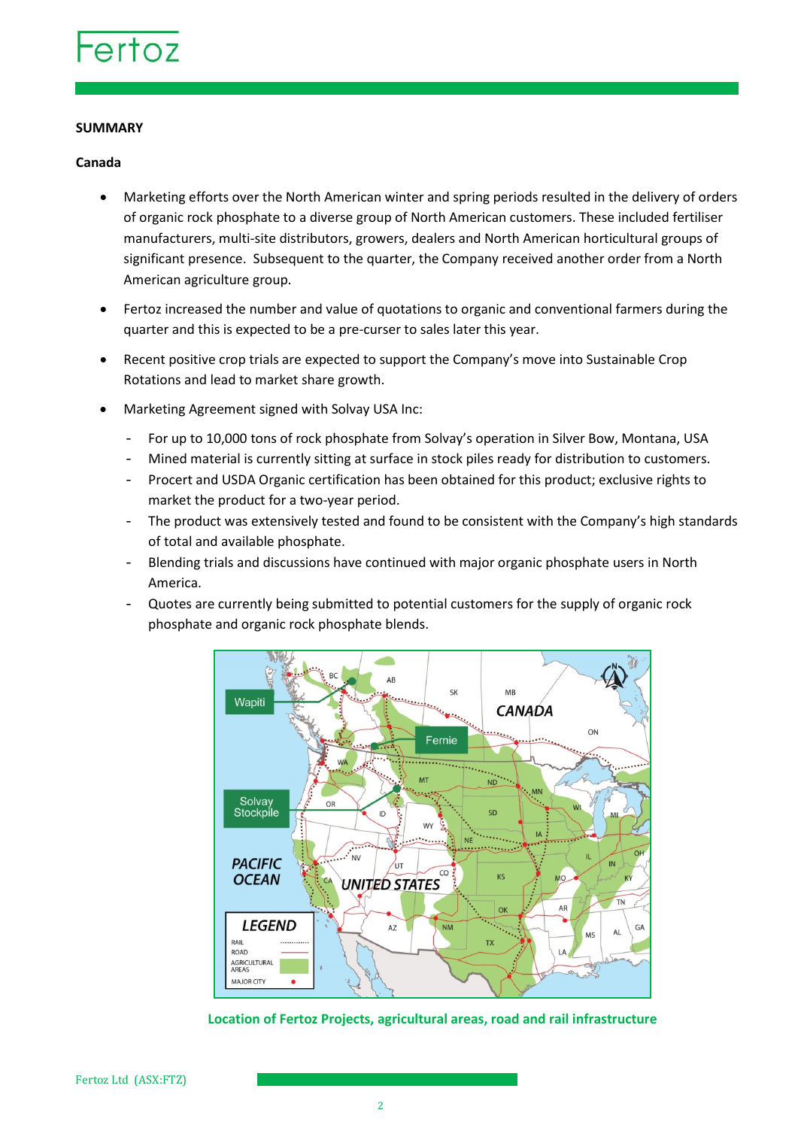

### **SUMMARY**

### **Canada**

- Marketing efforts over the North American winter and spring periods resulted in the delivery of orders of organic rock phosphate to a diverse group of North American customers. These included fertiliser manufacturers, multi-site distributors, growers, dealers and North American horticultural groups of significant presence. Subsequent to the quarter, the Company received another order from a North American agriculture group.
- Fertoz increased the number and value of quotations to organic and conventional farmers during the quarter and this is expected to be a pre-curser to sales later this year.
- Recent positive crop trials are expected to support the Company's move into Sustainable Crop Rotations and lead to market share growth.
- Marketing Agreement signed with Solvay USA Inc:
	- For up to 10,000 tons of rock phosphate from Solvay's operation in Silver Bow, Montana, USA
	- Mined material is currently sitting at surface in stock piles ready for distribution to customers.
	- Procert and USDA Organic certification has been obtained for this product; exclusive rights to market the product for a two-year period.
	- The product was extensively tested and found to be consistent with the Company's high standards of total and available phosphate.
	- Blending trials and discussions have continued with major organic phosphate users in North America.
	- Quotes are currently being submitted to potential customers for the supply of organic rock phosphate and organic rock phosphate blends.



**Location of Fertoz Projects, agricultural areas, road and rail infrastructure**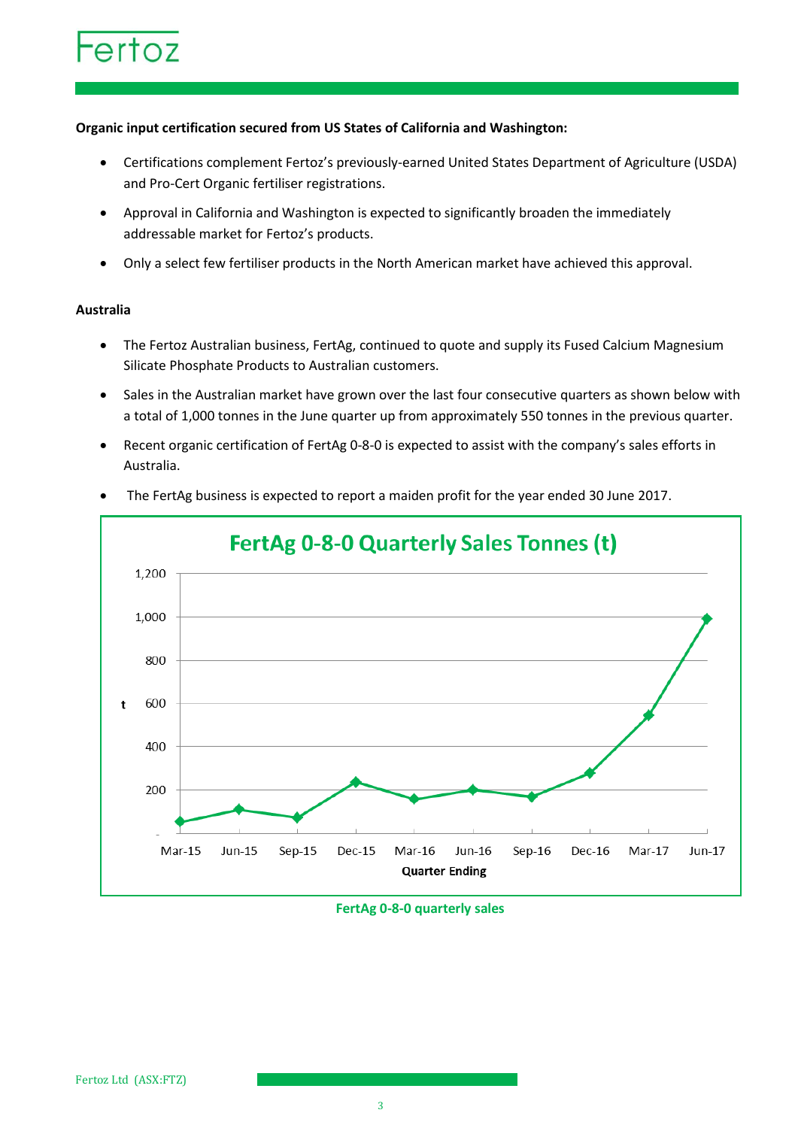### **Organic input certification secured from US States of California and Washington:**

- Certifications complement Fertoz's previously-earned United States Department of Agriculture (USDA) and Pro-Cert Organic fertiliser registrations.
- Approval in California and Washington is expected to significantly broaden the immediately addressable market for Fertoz's products.
- Only a select few fertiliser products in the North American market have achieved this approval.

### **Australia**

- The Fertoz Australian business, FertAg, continued to quote and supply its Fused Calcium Magnesium Silicate Phosphate Products to Australian customers.
- Sales in the Australian market have grown over the last four consecutive quarters as shown below with a total of 1,000 tonnes in the June quarter up from approximately 550 tonnes in the previous quarter.
- Recent organic certification of FertAg 0-8-0 is expected to assist with the company's sales efforts in Australia.



• The FertAg business is expected to report a maiden profit for the year ended 30 June 2017.

### **FertAg 0-8-0 quarterly sales**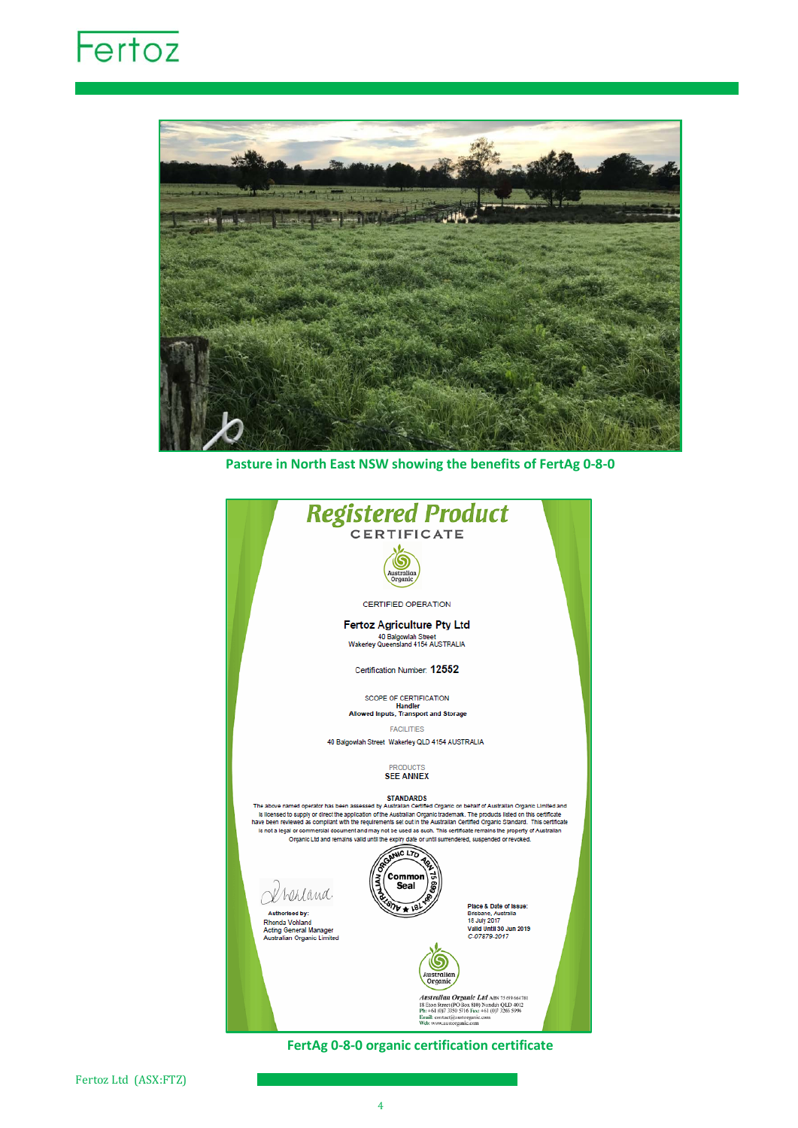## Fertoz



**Pasture in North East NSW showing the benefits of FertAg 0-8-0**

| <b>Registered Product</b>                                                                                                                                                                                                                              |                                               |  |  |  |  |  |
|--------------------------------------------------------------------------------------------------------------------------------------------------------------------------------------------------------------------------------------------------------|-----------------------------------------------|--|--|--|--|--|
| <b>CERTIFICATE</b>                                                                                                                                                                                                                                     |                                               |  |  |  |  |  |
|                                                                                                                                                                                                                                                        |                                               |  |  |  |  |  |
|                                                                                                                                                                                                                                                        |                                               |  |  |  |  |  |
| Australian<br>Organic                                                                                                                                                                                                                                  |                                               |  |  |  |  |  |
|                                                                                                                                                                                                                                                        |                                               |  |  |  |  |  |
| <b>CERTIFIED OPERATION</b>                                                                                                                                                                                                                             |                                               |  |  |  |  |  |
| <b>Fertoz Agriculture Pty Ltd</b>                                                                                                                                                                                                                      |                                               |  |  |  |  |  |
| 40 Balgowlah Street<br>Wakerley Queensland 4154 AUSTRALIA                                                                                                                                                                                              |                                               |  |  |  |  |  |
|                                                                                                                                                                                                                                                        |                                               |  |  |  |  |  |
| Certification Number: 12552                                                                                                                                                                                                                            |                                               |  |  |  |  |  |
|                                                                                                                                                                                                                                                        |                                               |  |  |  |  |  |
| <b>SCOPE OF CERTIFICATION</b>                                                                                                                                                                                                                          |                                               |  |  |  |  |  |
| <b>Handler</b><br>Allowed Inputs, Transport and Storage                                                                                                                                                                                                |                                               |  |  |  |  |  |
| <b>FACILITIES</b>                                                                                                                                                                                                                                      |                                               |  |  |  |  |  |
| 40 Balgowlah Street Wakerley QLD 4154 AUSTRALIA                                                                                                                                                                                                        |                                               |  |  |  |  |  |
|                                                                                                                                                                                                                                                        |                                               |  |  |  |  |  |
| <b>PRODUCTS</b>                                                                                                                                                                                                                                        |                                               |  |  |  |  |  |
| <b>SEE ANNEX</b>                                                                                                                                                                                                                                       |                                               |  |  |  |  |  |
| <b>STANDARDS</b>                                                                                                                                                                                                                                       |                                               |  |  |  |  |  |
| The above named operator has been assessed by Australian Certified Organic on behalf of Australian Organic Limited and<br>is licensed to supply or direct the application of the Australian Organic trademark. The products listed on this certificate |                                               |  |  |  |  |  |
| have been reviewed as compilant with the requirements set out in the Australian Certified Organic Standard. This certificate                                                                                                                           |                                               |  |  |  |  |  |
| is not a legal or commercial document and may not be used as such. This certificate remains the property of Australian<br>Organic Ltd and remains vaild until the expiry date or until surrendered, suspended or revoked.                              |                                               |  |  |  |  |  |
|                                                                                                                                                                                                                                                        |                                               |  |  |  |  |  |
| SOANIC LTD                                                                                                                                                                                                                                             |                                               |  |  |  |  |  |
| Common<br>Seal                                                                                                                                                                                                                                         |                                               |  |  |  |  |  |
| Lland.                                                                                                                                                                                                                                                 |                                               |  |  |  |  |  |
| Authorised by:                                                                                                                                                                                                                                         | Place & Date of Issue:<br>Brisbane, Australia |  |  |  |  |  |
| Rhonda Vohland                                                                                                                                                                                                                                         | 18 July 2017                                  |  |  |  |  |  |
| <b>Acting General Manager</b><br><b>Australian Organic Limited</b>                                                                                                                                                                                     | Valld Until 30 Jun 2019<br>C-07879-2017       |  |  |  |  |  |
|                                                                                                                                                                                                                                                        |                                               |  |  |  |  |  |
|                                                                                                                                                                                                                                                        |                                               |  |  |  |  |  |
| Australian                                                                                                                                                                                                                                             |                                               |  |  |  |  |  |
| Organic                                                                                                                                                                                                                                                |                                               |  |  |  |  |  |
| Australian Organic Ltd ABN 15 099 664 781<br>18 Eton Street (PO Box 810) Nundah QLD 4012                                                                                                                                                               |                                               |  |  |  |  |  |
| Ph: +61 (0)7 3350 5716 Fax: +61 (0)7 3266 5996<br>Email: contact@nustorganic.com                                                                                                                                                                       |                                               |  |  |  |  |  |
| Welc www.austorganic.com                                                                                                                                                                                                                               |                                               |  |  |  |  |  |

**FertAg 0-8-0 organic certification certificate**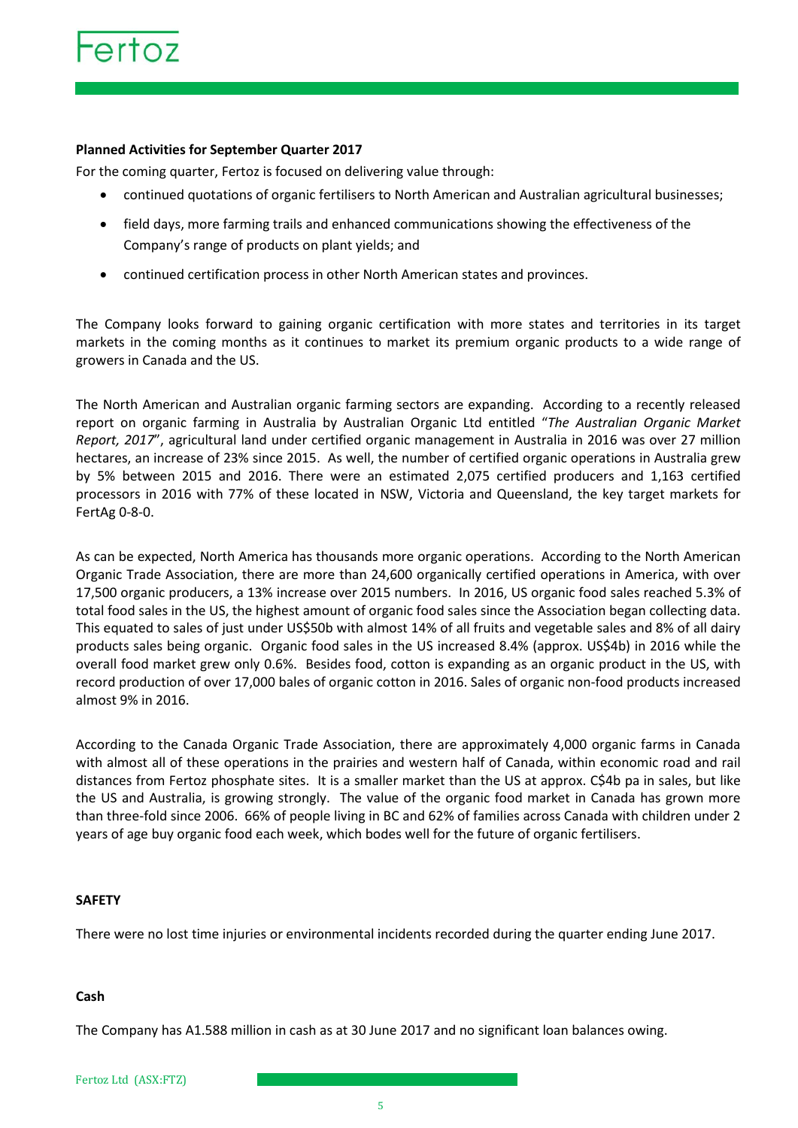### **Planned Activities for September Quarter 2017**

For the coming quarter, Fertoz is focused on delivering value through:

- continued quotations of organic fertilisers to North American and Australian agricultural businesses;
- field days, more farming trails and enhanced communications showing the effectiveness of the Company's range of products on plant yields; and
- continued certification process in other North American states and provinces.

The Company looks forward to gaining organic certification with more states and territories in its target markets in the coming months as it continues to market its premium organic products to a wide range of growers in Canada and the US.

The North American and Australian organic farming sectors are expanding. According to a recently released report on organic farming in Australia by Australian Organic Ltd entitled "*The Australian Organic Market Report, 2017*", agricultural land under certified organic management in Australia in 2016 was over 27 million hectares, an increase of 23% since 2015. As well, the number of certified organic operations in Australia grew by 5% between 2015 and 2016. There were an estimated 2,075 certified producers and 1,163 certified processors in 2016 with 77% of these located in NSW, Victoria and Queensland, the key target markets for FertAg 0-8-0.

As can be expected, North America has thousands more organic operations. According to the North American Organic Trade Association, there are more than 24,600 organically certified operations in America, with over 17,500 organic producers, a 13% increase over 2015 numbers. In 2016, US organic food sales reached 5.3% of total food sales in the US, the highest amount of organic food sales since the Association began collecting data. This equated to sales of just under US\$50b with almost 14% of all fruits and vegetable sales and 8% of all dairy products sales being organic. Organic food sales in the US increased 8.4% (approx. US\$4b) in 2016 while the overall food market grew only 0.6%. Besides food, cotton is expanding as an organic product in the US, with record production of over 17,000 bales of organic cotton in 2016. Sales of organic non-food products increased almost 9% in 2016.

According to the Canada Organic Trade Association, there are approximately 4,000 organic farms in Canada with almost all of these operations in the prairies and western half of Canada, within economic road and rail distances from Fertoz phosphate sites. It is a smaller market than the US at approx. C\$4b pa in sales, but like the US and Australia, is growing strongly. The value of the organic food market in Canada has grown more than three-fold since 2006. 66% of people living in BC and 62% of families across Canada with children under 2 years of age buy organic food each week, which bodes well for the future of organic fertilisers.

### **SAFETY**

There were no lost time injuries or environmental incidents recorded during the quarter ending June 2017.

### **Cash**

The Company has A1.588 million in cash as at 30 June 2017 and no significant loan balances owing.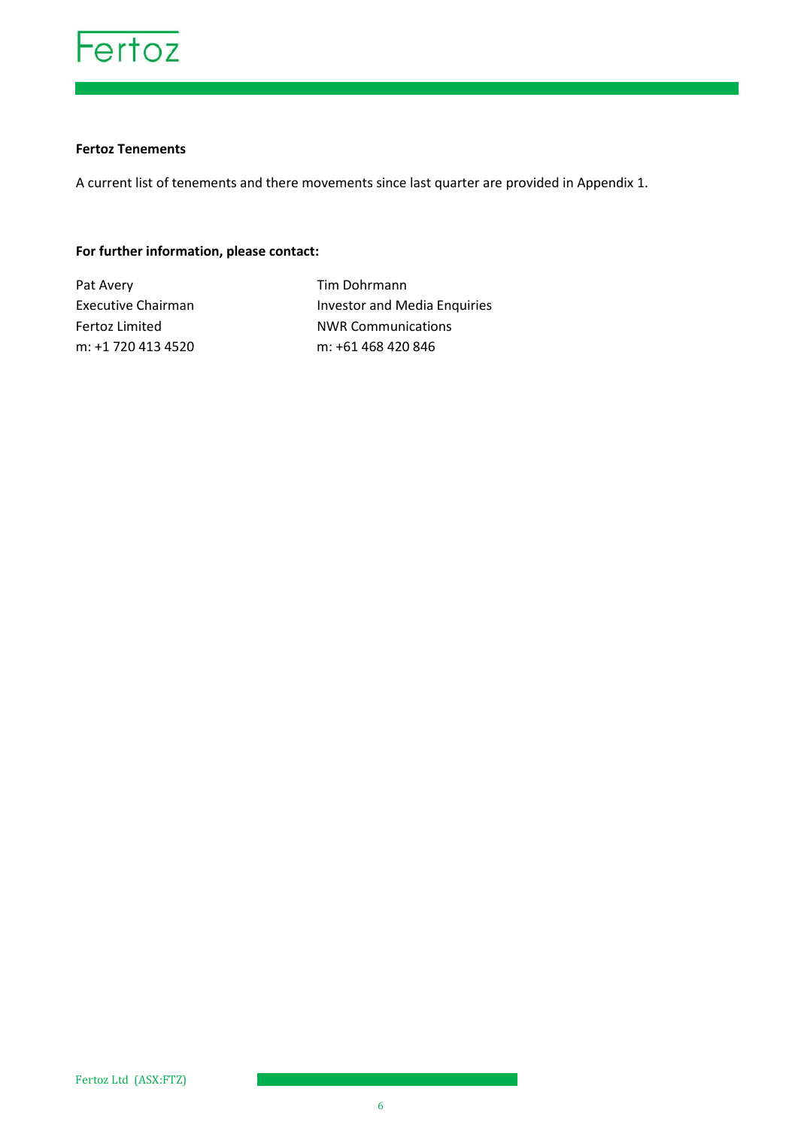

### **Fertoz Tenements**

A current list of tenements and there movements since last quarter are provided in Appendix 1.

### **For further information, please contact:**

Pat Avery **Tim Dohrmann** 

Executive Chairman **Investor and Media Enquiries** Fertoz Limited NWR Communications m: +1 720 413 4520 m: +61 468 420 846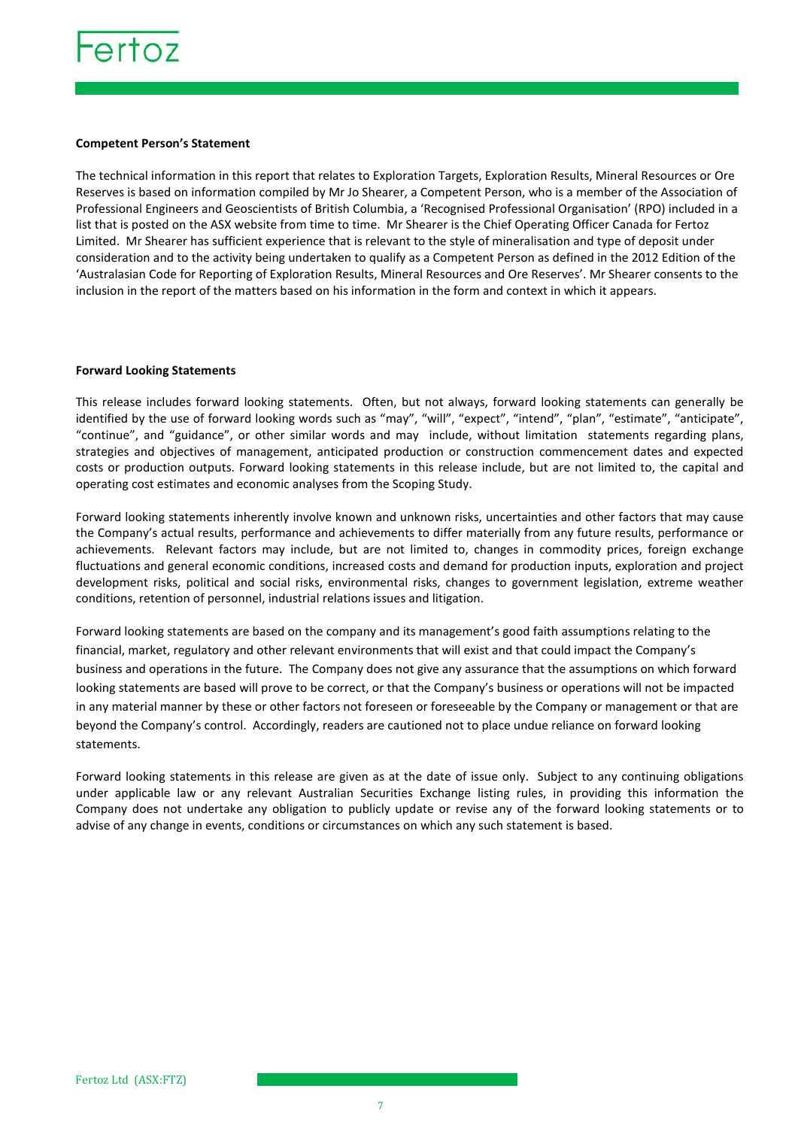

### **Competent Person's Statement**

The technical information in this report that relates to Exploration Targets, Exploration Results, Mineral Resources or Ore Reserves is based on information compiled by Mr Jo Shearer, a Competent Person, who is a member of the Association of Professional Engineers and Geoscientists of British Columbia, a 'Recognised Professional Organisation' (RPO) included in a list that is posted on the ASX website from time to time. Mr Shearer is the Chief Operating Officer Canada for Fertoz Limited. Mr Shearer has sufficient experience that is relevant to the style of mineralisation and type of deposit under consideration and to the activity being undertaken to qualify as a Competent Person as defined in the 2012 Edition of the 'Australasian Code for Reporting of Exploration Results, Mineral Resources and Ore Reserves'. Mr Shearer consents to the inclusion in the report of the matters based on his information in the form and context in which it appears.

### **Forward Looking Statements**

This release includes forward looking statements. Often, but not always, forward looking statements can generally be identified by the use of forward looking words such as "may", "will", "expect", "intend", "plan", "estimate", "anticipate", "continue", and "guidance", or other similar words and may include, without limitation statements regarding plans, strategies and objectives of management, anticipated production or construction commencement dates and expected costs or production outputs. Forward looking statements in this release include, but are not limited to, the capital and operating cost estimates and economic analyses from the Scoping Study.

Forward looking statements inherently involve known and unknown risks, uncertainties and other factors that may cause the Company's actual results, performance and achievements to differ materially from any future results, performance or achievements. Relevant factors may include, but are not limited to, changes in commodity prices, foreign exchange fluctuations and general economic conditions, increased costs and demand for production inputs, exploration and project development risks, political and social risks, environmental risks, changes to government legislation, extreme weather conditions, retention of personnel, industrial relations issues and litigation.

Forward looking statements are based on the company and its management's good faith assumptions relating to the financial, market, regulatory and other relevant environments that will exist and that could impact the Company's business and operations in the future. The Company does not give any assurance that the assumptions on which forward looking statements are based will prove to be correct, or that the Company's business or operations will not be impacted in any material manner by these or other factors not foreseen or foreseeable by the Company or management or that are beyond the Company's control. Accordingly, readers are cautioned not to place undue reliance on forward looking statements.

Forward looking statements in this release are given as at the date of issue only. Subject to any continuing obligations under applicable law or any relevant Australian Securities Exchange listing rules, in providing this information the Company does not undertake any obligation to publicly update or revise any of the forward looking statements or to advise of any change in events, conditions or circumstances on which any such statement is based.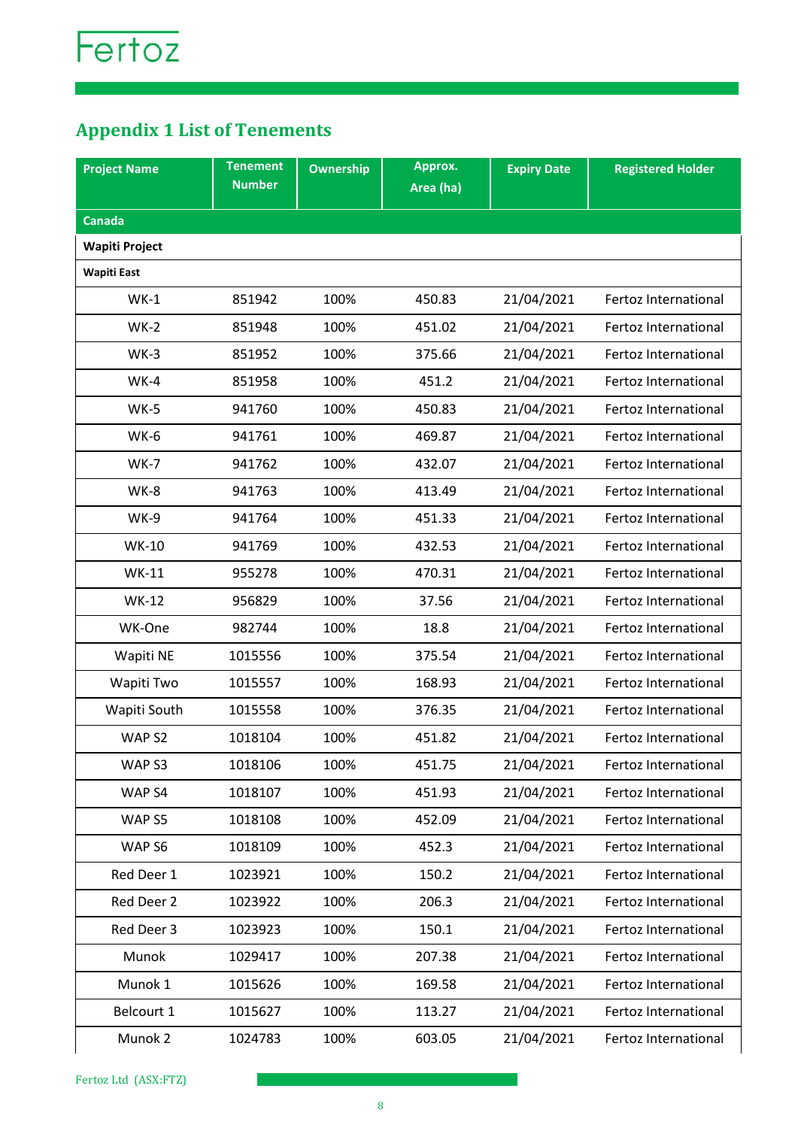### **Appendix 1 List of Tenements**

| <b>Project Name</b>   | <b>Tenement</b> | <b>Ownership</b> | Approx.   | <b>Expiry Date</b> | <b>Registered Holder</b> |
|-----------------------|-----------------|------------------|-----------|--------------------|--------------------------|
|                       | <b>Number</b>   |                  | Area (ha) |                    |                          |
| <b>Canada</b>         |                 |                  |           |                    |                          |
| <b>Wapiti Project</b> |                 |                  |           |                    |                          |
| <b>Wapiti East</b>    |                 |                  |           |                    |                          |
| $WK-1$                | 851942          | 100%             | 450.83    | 21/04/2021         | Fertoz International     |
| $WK-2$                | 851948          | 100%             | 451.02    | 21/04/2021         | Fertoz International     |
| $WK-3$                | 851952          | 100%             | 375.66    | 21/04/2021         | Fertoz International     |
| $WK-4$                | 851958          | 100%             | 451.2     | 21/04/2021         | Fertoz International     |
| $WK-5$                | 941760          | 100%             | 450.83    | 21/04/2021         | Fertoz International     |
| WK-6                  | 941761          | 100%             | 469.87    | 21/04/2021         | Fertoz International     |
| $WK-7$                | 941762          | 100%             | 432.07    | 21/04/2021         | Fertoz International     |
| WK-8                  | 941763          | 100%             | 413.49    | 21/04/2021         | Fertoz International     |
| WK-9                  | 941764          | 100%             | 451.33    | 21/04/2021         | Fertoz International     |
| <b>WK-10</b>          | 941769          | 100%             | 432.53    | 21/04/2021         | Fertoz International     |
| <b>WK-11</b>          | 955278          | 100%             | 470.31    | 21/04/2021         | Fertoz International     |
| <b>WK-12</b>          | 956829          | 100%             | 37.56     | 21/04/2021         | Fertoz International     |
| WK-One                | 982744          | 100%             | 18.8      | 21/04/2021         | Fertoz International     |
| Wapiti NE             | 1015556         | 100%             | 375.54    | 21/04/2021         | Fertoz International     |
| Wapiti Two            | 1015557         | 100%             | 168.93    | 21/04/2021         | Fertoz International     |
| Wapiti South          | 1015558         | 100%             | 376.35    | 21/04/2021         | Fertoz International     |
| WAP <sub>S2</sub>     | 1018104         | 100%             | 451.82    | 21/04/2021         | Fertoz International     |
| WAP <sub>S3</sub>     | 1018106         | 100%             | 451.75    | 21/04/2021         | Fertoz International     |
| WAP <sub>S4</sub>     | 1018107         | 100%             | 451.93    | 21/04/2021         | Fertoz International     |
| WAP <sub>S5</sub>     | 1018108         | 100%             | 452.09    | 21/04/2021         | Fertoz International     |
| WAP <sub>S6</sub>     | 1018109         | 100%             | 452.3     | 21/04/2021         | Fertoz International     |
| Red Deer 1            | 1023921         | 100%             | 150.2     | 21/04/2021         | Fertoz International     |
| Red Deer 2            | 1023922         | 100%             | 206.3     | 21/04/2021         | Fertoz International     |
| Red Deer 3            | 1023923         | 100%             | 150.1     | 21/04/2021         | Fertoz International     |
| Munok                 | 1029417         | 100%             | 207.38    | 21/04/2021         | Fertoz International     |
| Munok 1               | 1015626         | 100%             | 169.58    | 21/04/2021         | Fertoz International     |
| Belcourt 1            | 1015627         | 100%             | 113.27    | 21/04/2021         | Fertoz International     |
| Munok 2               | 1024783         | 100%             | 603.05    | 21/04/2021         | Fertoz International     |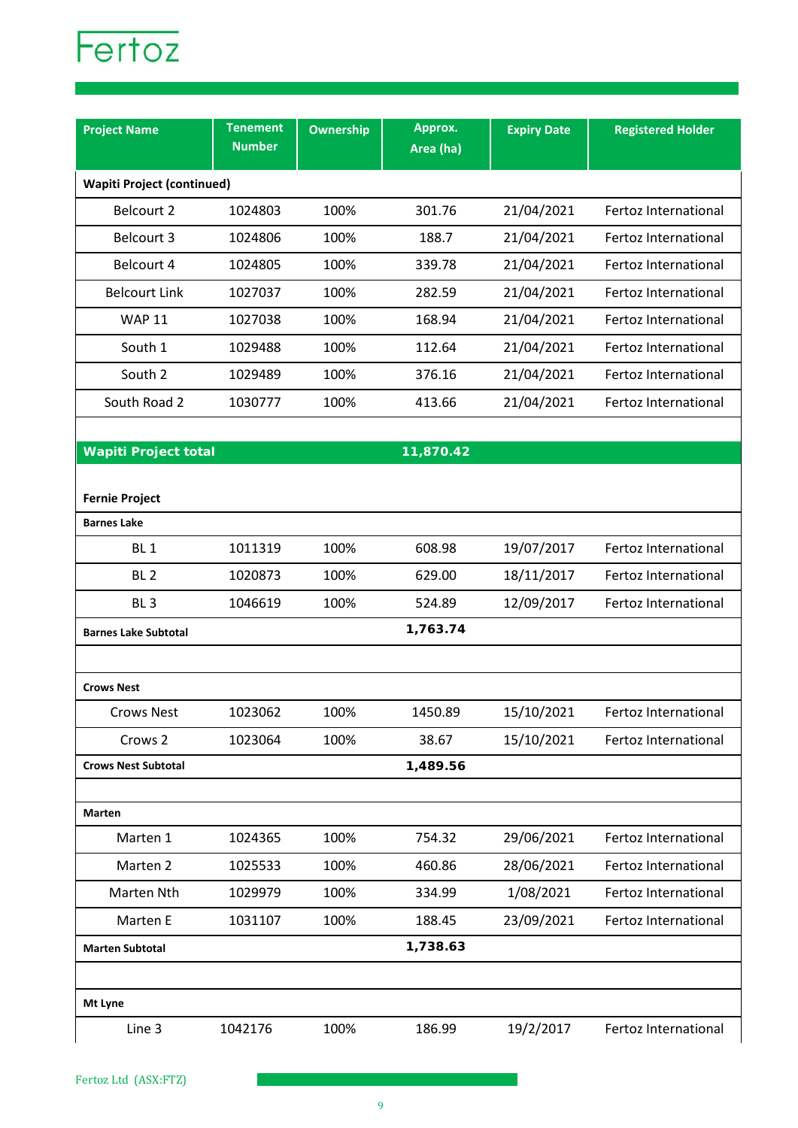

| <b>Project Name</b>               | <b>Tenement</b><br><b>Number</b> | Ownership | Approx.<br>Area (ha) | <b>Expiry Date</b> | <b>Registered Holder</b> |
|-----------------------------------|----------------------------------|-----------|----------------------|--------------------|--------------------------|
| <b>Wapiti Project (continued)</b> |                                  |           |                      |                    |                          |
| Belcourt 2                        | 1024803                          | 100%      | 301.76               | 21/04/2021         | Fertoz International     |
| Belcourt 3                        | 1024806                          | 100%      | 188.7                | 21/04/2021         | Fertoz International     |
| Belcourt 4                        | 1024805                          | 100%      | 339.78               | 21/04/2021         | Fertoz International     |
| <b>Belcourt Link</b>              | 1027037                          | 100%      | 282.59               | 21/04/2021         | Fertoz International     |
| <b>WAP 11</b>                     | 1027038                          | 100%      | 168.94               | 21/04/2021         | Fertoz International     |
| South 1                           | 1029488                          | 100%      | 112.64               | 21/04/2021         | Fertoz International     |
| South 2                           | 1029489                          | 100%      | 376.16               | 21/04/2021         | Fertoz International     |
| South Road 2                      | 1030777                          | 100%      | 413.66               | 21/04/2021         | Fertoz International     |
|                                   |                                  |           |                      |                    |                          |
| <b>Wapiti Project total</b>       |                                  |           | 11,870.42            |                    |                          |
| <b>Fernie Project</b>             |                                  |           |                      |                    |                          |
| <b>Barnes Lake</b>                |                                  |           |                      |                    |                          |
| BL <sub>1</sub>                   | 1011319                          | 100%      | 608.98               | 19/07/2017         | Fertoz International     |
| BL <sub>2</sub>                   | 1020873                          | 100%      | 629.00               | 18/11/2017         | Fertoz International     |
| BL <sub>3</sub>                   | 1046619                          | 100%      | 524.89               | 12/09/2017         | Fertoz International     |
| <b>Barnes Lake Subtotal</b>       |                                  |           | 1,763.74             |                    |                          |
|                                   |                                  |           |                      |                    |                          |
| <b>Crows Nest</b>                 |                                  |           |                      |                    |                          |
| <b>Crows Nest</b>                 | 1023062                          | 100%      | 1450.89              | 15/10/2021         | Fertoz International     |
| Crows 2                           | 1023064                          | 100%      | 38.67                | 15/10/2021         | Fertoz International     |
| <b>Crows Nest Subtotal</b>        |                                  |           | 1,489.56             |                    |                          |
|                                   |                                  |           |                      |                    |                          |
| <b>Marten</b><br>Marten 1         | 1024365                          | 100%      | 754.32               | 29/06/2021         | Fertoz International     |
| Marten 2                          | 1025533                          | 100%      | 460.86               | 28/06/2021         | Fertoz International     |
| Marten Nth                        | 1029979                          | 100%      | 334.99               | 1/08/2021          | Fertoz International     |
| Marten E                          | 1031107                          | 100%      | 188.45               | 23/09/2021         | Fertoz International     |
|                                   |                                  |           | 1,738.63             |                    |                          |
| <b>Marten Subtotal</b>            |                                  |           |                      |                    |                          |
| Mt Lyne                           |                                  |           |                      |                    |                          |
| Line 3                            | 1042176                          | 100%      | 186.99               | 19/2/2017          | Fertoz International     |